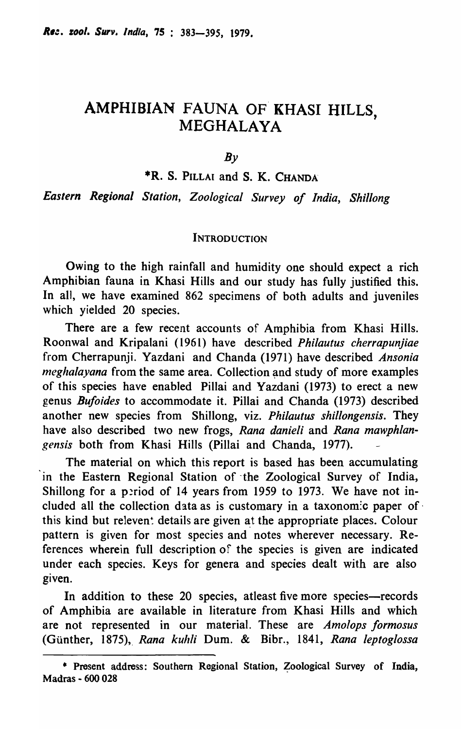# AMPHIBIAN FAUNA OF KHASI HILLS,<br>MEGHALAYA

 $Bv$ 

\*R. S. PILLAI and S. K. CHANDA

*Eastern Regional Station, Zoological Survey of India, Shillong* 

#### **INTRODUCTION**

Owing to the high rainfall and humidity one should expect a rich Amphibian fauna in Khasi Hills and our study has fully justified this. In all, we have examined 862 specimens of both adults and juveniles which yielded 20 species.

There are a few recent accounts of Amphibia from Khasi Hills. Roonwal and Kripalani (1961) have described *Phi/autus cherrapunjiae*  from Cherrapunji. Yazdani and Chanda (1971) have described *Ansonia neghalayana* from the same area. Collection and study of more examples of this species have enabled Pillai and Yazdani (1973) to erect a new genus *Bufoides* to accommodate it. Pillai and Chanda (1973) described another new species from Shillong, viz. *Phi/autus shillongensis.* They have also described two new frogs, *Rana danieli* and *Rana mawphlangensis* both from Khasi Hills (Pillai and Chanda, 1977).

The material on which this report is based has been accumulating in the Eastern Regional Station of the Zoological Survey of India, Shillong for a period of 14 years from 1959 to 1973. We have not included all the collection data as is customary in a taxonom:c paper of· this kind but releven: details are given at the appropriate places. Colour pattern is given for most species and notes wherever necessary. References wherein full description of the species is given are indicated under each species. Keys for genera and species dealt with are also given.

In addition to these 20 species, at least five more species—records of Amphibia are available in literature from Khasi Hills and which are not represented in our material. These are *Amolops formosus*  (Gunther, 1875)" *Rana kuhli* Dum. & Bibr., 1841, *Rana leptoglossa* 

<sup>\*</sup> Present address: Southern Regional Station, Zoological Survey of India, Madras - 600 028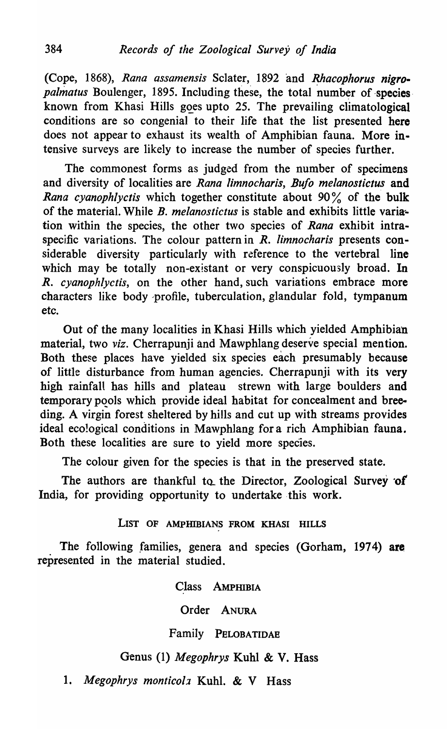(Cope, 1868), Rana assamensis Sclater, 1892 and *Rhacophorus nigropalmatus* Boulenger, 1895. Including these, the total number of species known from Khasi Hills goes upto 25. The prevailing climatological conditions are so congenial to their life that the list presented here does not appear to exhaust its wealth of Amphibian fauna. More intensive surveys are likely to increase the number of species further.

The commonest forms as judged from the number of specimens and diversity of localities are *Rana Iimnocharis, Bufo melanostictus* and *Rana cyanophlyctis* which together constitute about 90% of the bulk of the material. While *B. melanostietus* is stable and exhibits little varia; tion within the species, the other two species of *Rana* exhibit intraspecific variations. The colour pattern in *R. limnoeharis* presents considerable diversity particularly with reference to the vertebral line which may be totally non-existant or very conspicuously broad. In *R. cyanophlyctis*, on the other hand, such variations embrace more characters like body 'profile, tuberculation, glandular fold, tympanum etc.

Out of the many localities in Khasi Hills which yielded Amphibian material, two *viz*. Cherrapunji and Mawphlang deserve special mention. Both these places have yielded six species each presumably because of little disturbance from human agencies. Cherrapunji with its very high rainfall has hills and plateau strewn with large boulders and temporary pools which provide ideal habitat for concealment and breeding. A virgin forest sheltered by hills and cut up with streams provides ideal eco!ogical conditions in Mawphlang for a rich Amphibian fauna. Both these localities are sure to yield more species.

The colour given for the species is that in the preserved state.

The authors are thankful to the Director, Zoological Survey of India, for providing opportunity to undertake this work.

LIST OF AMPHIBIANS FROM KHASI HILLS

The following families, genera and species (Gorham, 1974) are represented in the material studied.

Class AMPHIBIA

Order ANURA

Family PELOBATIDAE

# Genus (1) *Megophrys* Kuhl & V. Hass

*1. Megophrys montieol2* Kuhl. & V Hass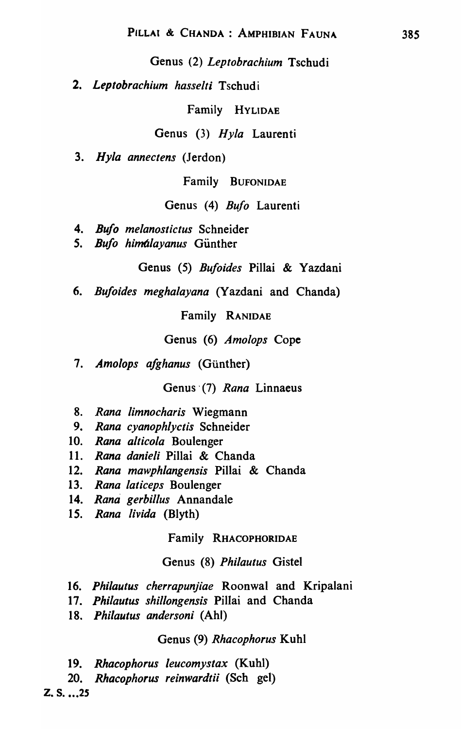Genus (2) *Leptobrachium* Tschudi

*2. Leptobrachium hasselti* Tschudi

Family HYLIDAE

Genus (3) *Hyla* Laurenti

*3. Hy/a annectens* (Jerdon)

Family BUFONIDAE

Genus (4) *Bufo* Laurenti

- *4. Bufo melanostictus* Schneider
- 5. *Bufo himalayanus* Günther

Genus (5) *Bufoides* Pillai & Yazdani

*6. Bufoides meghalayana* (Yazdani and Chanda)

Family RANIDAE

Genus (6) *Amolops* Cope

7. Amolops afghanus (Günther)

Genus' (7) *Rana* Linnaeus

- *8. Rana limnocharis* Wiegmann
- *9. Rana cyanophlyctis* Schneider
- *10. Rana alticola* Boulenger
- *11. Rana daniel;* Pillai & Chanda
- *12. Rana mawphlangensis* Pillai & Chanda
- *13. Rana latieeps* Boulenger
- *14. Rana gerbil/us* Annandale
- *15. Rana livida* (Blyth)

Family RHACOPHORIDAE

#### Genus (8) *Philautus* Gistel

- *16. Phi/autus eherrapunjiae* Roonwal and Kripalani
- *17. Phi/autus shillongensis* Pillai and Chanda
- *18. Phi/autus andersoni* (Ahl)

#### Genus (9) *Rhaeophorus* Kuhl

- *19. Rhacophorus /eucomystax* (Kuhl)
- *20. Rhacophorus reinwardtii* (Sch gel)

z. s . *... 2S*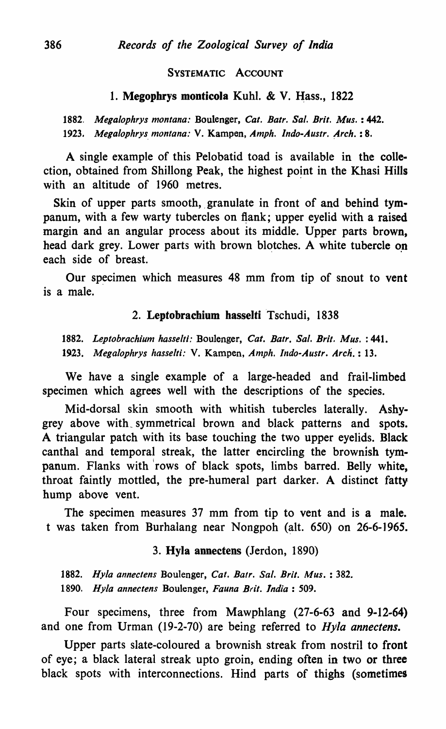#### SYSTEMATIC ACCOUNT

#### 1. Megophrys monticola Kuhl. & V. Hass., 1822

*1882. Megalophrys montana:* Boulenger, *Cat. Batr. Sal. Brit. Mus.* : 442. 1923. Megalophrys montana: V. Kampen, *Amph. Indo-Austr. Arch.* : 8.

A single example of this Pelobatid toad is available in the collection, obtained from Shillong Peak, the highest point in the Khasi Hills with an altitude of 1960 metres.

Skin of upper parts smooth, granulate in front of and behind tympanum, with a few warty tubercles on flank; upper eyelid with a raised margin and an angular process about its middle. Upper parts brown, head dark grey. Lower parts with brown blotches. A white tubercle on each side of breast.

Our specimen which measures 48 mm from tip of snout to vent is a male.

#### 2. Leptobrachium hasselti 'Tschudi, 1838

*1882. Leptobrachium hasselti.'* Boulenger, *Cat. Batr. Sal. Brit. Mus.* : 441. 1923. Megalophrys hasselti: V. Kampen, *Amph. Indo-Austr. Arch.* : 13.

We have a single example of a large-headed and frail-limbed specimen which agrees well with the descriptions of the species.

Mid-dorsal skin smooth with whitish tubercles laterally. Ashygrey above with\_ symmetrical brown and black patterns and spots. A triangular patch with its base touching the two upper eyelids. Black canthal and temporal streak, the latter encircling the brownish tympanum. Flanks with 'rows of black spots, limbs barred. Belly white, throat faintly mottled, the pre-humeral part darker. A distinct fatty hump above vent.

The specimen measures 37 mm from tip to vent and is a male. t was taken from Burhalang near Nongpoh (alt. 650) on 26-6-1965.

#### 3. Hyla annectens (Jerdon, 1890)

*1882. Hyla anneclens* Boulenger, *Cat. Batr. Sal. Brit. Mus.* : 382. *1890. Hyla annectens* Boulenger, *Fauna Bril. India: 509.* 

Four specimens, three from Mawphlang (27-6-63 and 9-12-64) and one from Urman (19-2-70) are being referred to *Hy/a annectens.* 

Upper parts slate-coloured a brownish streak from nostril to front of eye; a black lateral streak upto groin, ending often in two or three black spots with interconnections. Hind parts of thighs (sometimes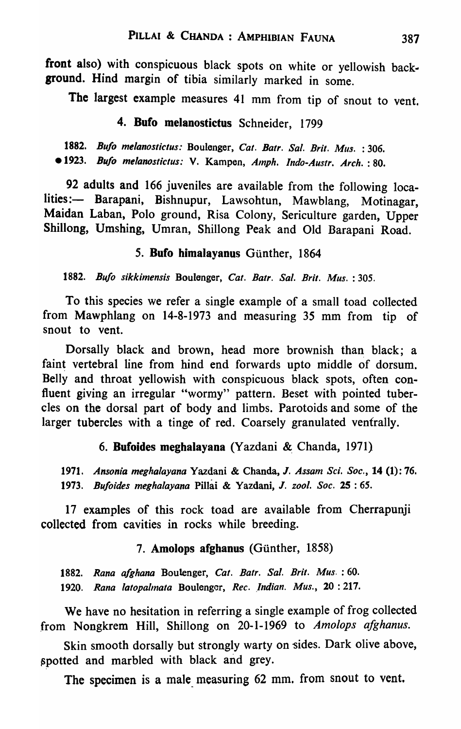front also) with conspicuous black spots on white or yellowish backsround. Hind margin of tibia similarly marked in some.

The largest example measures 41 mm from tip of snout to vent.

## 4. Bufo melanostictus Schneider, 1799

*1882. Bu/o me/anostictus.·* Boulenger, *Cat. Batr. Sal. Brit. Mus.* : 306 . *• 1923. Bu/o me/anostictus:* V. Kampen, *Alnph. Indo-Austr. Arch.* : 80.

92 adults and 166 juveniles are available from the following 10calities: - Barapani, Bishnupur, Lawsohtun, Mawblang, Motinagar, Maidan Laban, Polo ground, Risa Colony, Sericulture garden, Upper Shillong, Umshing, Umran, Shillong Peak and Old Barapani Road.

## 5. Bufo himalayanus Günther, 1864

*1882. Bufo sikkimensis* Boulenger, *Cat. Batr. Sal. Brit. Mus.* : 305.

To this species we refer a single example of a small toad collected from Mawphlang on 14-8-1973 and measuring 35 mm from tip of snout to vent.

Dorsally black and brown, head more brownish than black; a faint vertebral line from hind end forwards upto middle of dorsum. Belly and throat yellowish with conspicuous black spots, often confluent giving an irregular "wormy" pattern. Beset with pointed tubercles on the dorsal part of body and limbs. Parotoids and some of the larger tubercles with a tinge of red. Coarsely granulated ventrally.

#### 6. Bufoides meghalayana (Yazdani &. Chanda, 1971)

*1971. Ansonia meghalayana* Yazdani & Chanda, *J. Assam Sci. Soc.,* 14 (1): 76. *1973. Bu/oides meghalayana* Pillai & Yazdani, *J. zoo* I. *Soc.* 25 : 65.

17 examples of this rock toad are available from Cherrapunji collected from cavities in rocks while breeding.

#### 7. Amolops afghanus (Günther, 1858)

*1882. Rana a/ghana* Boulenger, *Cat. Batr. Sal. Brit. Mus.* : 60. 1920. Rana latopalmata Boulenger, *Rec. Indian. Mus.*, 20:217.

We have no hesitation in referring a single example of frog collected from Nongkrem Hill, Shillong on 20-1-1969 to *Amolops afghanus*.

Skin smooth dorsally but strongly warty on sides. Dark olive above, ~potted and marbled with black and grey.

The specimen is a male measuring 62 mm. from snout to vent.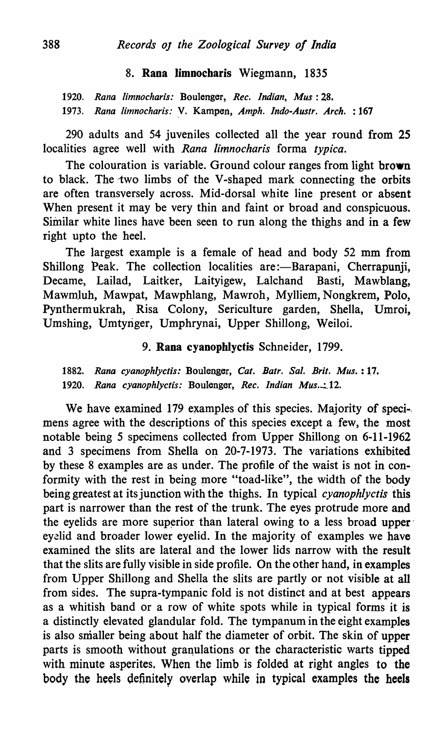#### 8. Rana Iimnocharis Wiegmann, 1835

*1920. Rana limnocharis:* Boulenger, *Rec. Indian, Mus: 28. 1973. Rana limnocharis:* y. Kampen, *Amph. Indo-Austr. Arch.* : 167

290 adults and 54 juveniles collected all the year round from 2S localities agree well with *Rana limnocharis* forma *typica,* 

The colouration is variable. Ground colour ranges from light brown to black. The two limbs of the V-shaped mark connecting the orbits are often transversely across. Mid-dorsal white line present or absent When present it may be very thin and faint or broad and conspicuous. Similar white lines have been seen to run along the thighs and in a few right upto the heel.

The largest example is a female of head and body 52 mm from Shillong Peak. The collection localities are:-Barapani, Cherrapunji, Decame, Lailad, Laitker, Laityigew, Lalchand Basti, Mawblang, Mawmluh, Mawpat, Mawphlang, Mawroh, Mylliem, Nongkrem, Polo, Pynthermukrah, Risa Colony, Sericulture garden, Shella, Umroi, Umshing, Umtyriger, Umphrynai, Upper Shillong, Weiloi.

#### 9. Rana cyanopblyctis Schneider, 1799.

1882. Rana cyanophlyctis: Boulenger, Cat. Batr. Sal. Brit. Mus.: 17. 1920. Rana cyanophlyctis: Boulenger, *Rec. Indian Mus.*:12.

We have examined 179 examples of this species. Majority of specimens agree with the descriptions of this species except a few, the most notable being 5 specimens collected from Upper Shillong on 6-11-1962 and 3 specimens from Shella on 20-7-1973. The variations exhibited by these 8 examples are as under. The profile of the waist is not in conformity with the rest in being more "toad-like", the width of the body being greatest at its junction with the thighs. In typical *cyanophlyctis* this part is narrower than the rest of the trunk. The eyes protrude more and the eyelids are more superior than lateral owing to a less broad upper eyelid and broader lower eyelid. In the majority of examples we have examined the slits are lateral and the lower lids narrow with the result that the slits are fully visible in side profile. On the other hand, in examples from Upper Shillong and Shella the slits are partly or not visible at all from sides. The supra-tympanic fold is not distinct and at best appears as a whitish band or a row of white spots while in typical forms it is a distinctly elevated glandular fold. The tympanum in the eight examples is also smaller being about half the diameter of orbit. The skin of upper parts is smooth without granulations or the characteristic warts tipped with minute asperites. When the limb is folded at right angles to the body the heels definitely overlap while in typical examples the heels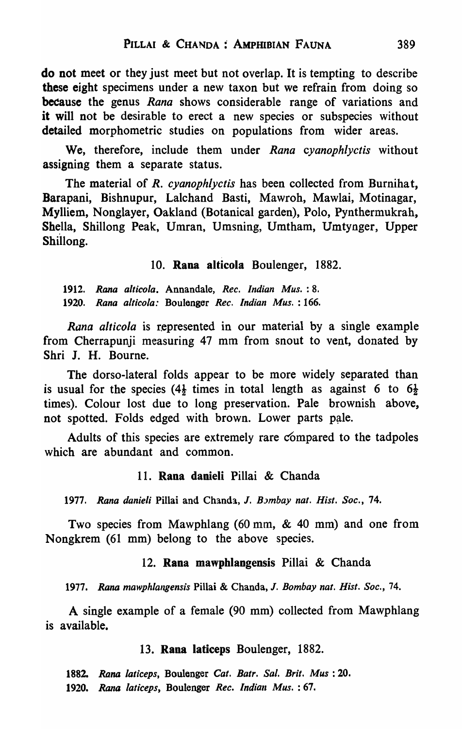do not meet or they just meet but not overlap. It is tempting to describe these eight specimens under a new taxon but we refrain from doing so **because** the genus *Rana* shows considerable range of variations and it will not be desirable to erect a new species or subspecies without detailed morphometric studies on populations from wider areas.

We, therefore, include them under *Rana cyanophlyctis* without assigning them a separate status.

The material of *R. cyanophlyctis* has been collected from Burnihat, Barapani, Bishnupur, Lalchand Basti, Mawroh, Mawlai, Motinagar, Mylliem, Nonglayer, Oakland (Botanical garden), Polo, Pynthermukrah, Shella, Shillong Peak, Umran, Umsning, Umtham, Umtynger, Upper Shillong.

10. Rana alticola Boulenger, 1882.

1912. *Rana a/ticola.* Annandale, *Ree. Indian Mus.* : 8. 1920. *Rana altieola:* Boulanger *Ree. Indian Mus.* : 166.

*Rana alticola* is represented in our material by a single example from Cherrapunji measuring 47 mm from snout to vent, donated by Shri J. H. Bourne.

The dorso-Iateral folds appear to be more widely separated than is usual for the species (4 $\frac{1}{2}$  times in total length as against 6 to 6 $\frac{1}{2}$ times). Colour lost due to long preservation. Pale brownish above, not spotted. Folds edged with brown. Lower parts pale.

Adults of this species are extremely rare compared to the tadpoles which are abundant and common.

#### 11. Rana danieli Pillai & Chanda

1977. Rana danieli Pillai and Chanda, J. *Bombay nat. Hist. Soc.*, 74.

Two species from Mawphlang (60 mm, & 40 mm) and one from Nongkrem (61 mm) belong to the above species.

#### 12. Rana mawphlangensis Pillai & Chanda

1977. Rana mawphlangensis Pillai & Chanda, J. *Bombay nat. Hist. Soc.*, 74.

A single example of a female (90 mm) collected from Mawphlang is available.

#### 13. Rana laticeps Boulenger, 1882.

*1882. Rana latieeps,* Boulenger *Cal. Batr. Sal. Brit. Mus: 20.*  1920. *Rana laticeps*, Boulenger *Rec. Indian Mus.* : 67.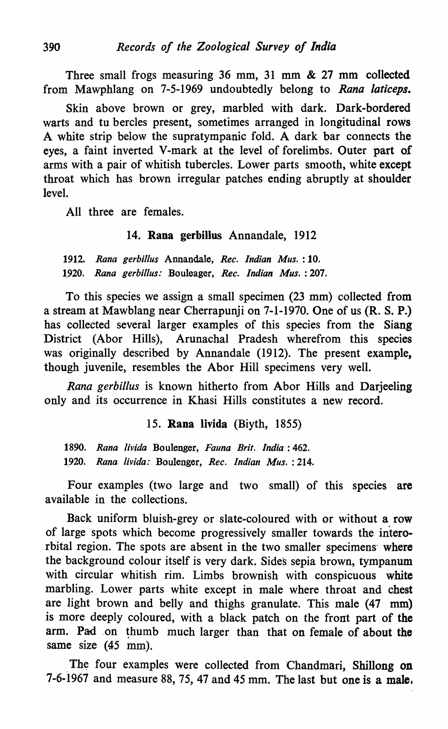Three small frogs measuring  $36$  mm,  $31$  mm  $\&$  27 mm collected from Mawphlang on 7-5-1969 undoubtedly belong to *Rana laticeps.* 

Skin above brown or grey, marbled with dark. Dark-bordered warts and tu bercles present, sometimes arranged in longitudinal rows A white strip below the supratympanic fold. A dark bar connects the eyes, a faint inverted V-mark at the level of forelimbs. Outer part of arms with a pair of whitish tubercles. Lower parts smooth, white except throat which has brown irregular patches ending abruptly at shoulder level.

All three are females.

#### 14. Rana gerbillus Annandale, 1912

*1912. Rana gerbil/us* Annandale, *Ree. Indian Mus.* : 10. *1.920. Rana gerbil/us:* Bouleager, *Ree. Indian Mus.* : 207.

To this species we assign a small specimen (23 mm) collected from a stream at Mawblang near Cherrapunji on 7-1-1970. One of us (R. S. P.) has collected several larger examples of this species from the Siang District (Abor Hills), Arunachal Pradesh wherefrom this species was originally described by Annandale (1912). The present example, though juvenile, resembles the Abor Hill specimens very well.

*Rana gerbil/us* is known hitherto from Abor Hills and Darjeeling only and its occurrence in Khasi Hills constitutes a new record.

15. Rana livida (Biyth, 1855)

*1890. Rana Iivida* Boulenger, *Fauna Brit. India: 462. 1.920. Rana Iivida:* Boulenger, *Ree. Indian Mus.* : 214.

Four examples (two large and two small) of this species are available in the collections.

Back uniform bluish-grey or slate-coloured with or without a row of large spots which become progressively smaller towards the interorbital region. The spots are absent in the two smaller specimens' where the background colour itself is very dark. Sides sepia brown, tympanum with circular whitish rim. Limbs brownish with conspicuous white marbling. Lower parts white except in male where throat and chest are light brown and belly and thighs granulate. This male (47 mm) is more deeply coloured, with a black patch on the front part of the arm. Pad on thumb much larger than that on female of about the same size (45 mm).

The four examples were collected from Chandmari, Shillong on 7-6-1967 and measure 88, 75, 47 and 45 mm. The last but one is a male.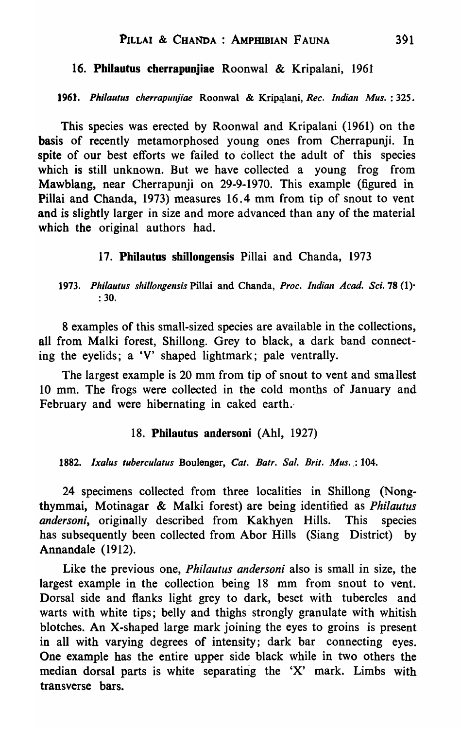#### 16. Philautus cherrapunjiae Roonwal & Kripalani, 1961

1961. Philautus cherrapunjiae Roonwal & Kripalani, *Rec. Indian Mus.* : 325.

This species was erected by Roonwal and Kripalani (1961) on the basis of recently metamorphosed young ones from Cherrapunji. In spite of our best efforts we failed to collect the adult of this species which is still unknown. But we have collected a young frog from Mawblang, near Cherrapunji on 29-9-1970. This example (figured in Pillai and Chanda, 1973) measures 16.4 mm from tip of snout to vent and is slightly larger in size and more advanced than any of the material which the original authors had.

#### 17. Philautus shillongensis Pillai and Chanda, 1973

1973. Philautus shillongensis Pillai and Chanda, Proc. Indian Acad. Sci. 78 (1)<sup>.</sup> : 30.

8 examples of this small-sized species are available in the collections, all from Malki forest, Shillong. Grey to black, a dark band connecting the eyelids; a 'V' shaped lightmark; pale ventrally.

The largest example is 20 mm from tip of snout to vent and smallest 10 mm. The frogs were collected in the cold months of January and February and were hibernating in caked earth.

#### 18. Philautus andersoni (Ahl, 1927)

1882. Ixalus tuberculatus Boulenger, Cat. Batr. Sal. Brit. Mus. : 104.

24 specimens collected from three localities in Shillong (Nongthymmai, Motinagar & Malki forest) are being identified as *Philautus andersoni,* originally described from Kakhyen Hills. This species has subsequently been collected from Abor Hills (Siang District) by Annandale (1912).

Like the previous one, *Philautus andersoni* also is small in size, the largest example in the collection being 18 mm from snout to vent. Dorsal side and flanks light grey to dark, beset with tubercles and warts with white tips; belly and thighs strongly granulate with whitish blotches. An X-shaped large mark joining the eyes to groins is present in all with varying degrees of intensity; dark bar connecting eyes. One example has the entire upper side black while in two others the median dorsal parts is white separating the 'X' mark. Limbs with transverse bars.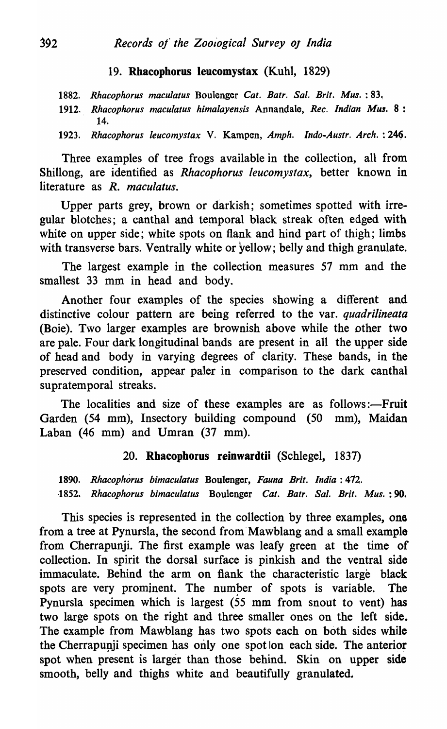# 19. Rbacophorus leucomystax (Kuhl, 1829)

1882. Rhacophorus maculatus Boulenger Cat. Batr. Sal. Brit. Mus. : 83.

1912. *Rhacophorus maculatus himalayensis* Annandale, *Rec. Indian Mus.* 8: 14.

1923. Rhacophorus leucomystax V. Kampen, *Amph. Indo-Austr. Arch.* : 246.

Three examples of tree frogs available in the collection, all from Shillong, are identified as *Rhacophorus leucomystax,* better known in literature as *R. maculatus.* 

Upper parts grey, brown or darkish; sometimes spotted with irregular blotches; a canthal and temporal black streak often edged with white on upper side; white spots on flank and hind part of thigh; limbs with transverse bars. Ventrally white or yellow; belly and thigh granulate.

The largest example in the collection measures 57 mm and the smallest 33 mm in head and body.

Another four examples of the species showing a different and distinctive colour pattern are being referred to the var. *quadrilineata*  (Boie). Two larger examples are brownish above while the other two are pale. Four dark longitudinal bands are present in all the upper side of head and body in varying degrees of clarity. These bands, in the preserved condition, appear paler in comparison to the dark canthal supratemporal streaks.

The localities and size of these examples are as follows:—Fruit Garden (54 mm), Insectory building compound (50 mm), Maidan Laban (46 mm) and Umran (37 mm).

#### 20. Rhacopborus reinwardtii (Schlegel, 1837)

*1890. Rhaeophorus bimaculatus* Boulenger, *Fauna Brit. India: 412. ,1852. Rhacophorus bimaculatus* Boulenger *Cat. Batr. Sal. Brit. Mus.: 90.* 

This species is represented in the collection by three examples, one from a tree at Pynursla, the second from'Mawblang and a small example from Cherrapunji. The first example was leafy green at the time of collection. In spirit the dorsal surface is pinkish and the ventral side immaculate. Behind the arm on flank the characteristic large black spots are very prominent. The number of spots is variable. The Pynursla specimen which is largest (55 mm from snout to vent) has two large spots on the right and three smaller ones on the left side. The example from Mawblang has two spots each on both sides while the Cherrapunji specimen has only one spot Ion each side. The anterior spot when present is larger than those behind. Skin on upper side smooth, belly and thighs white and beautifully granulated.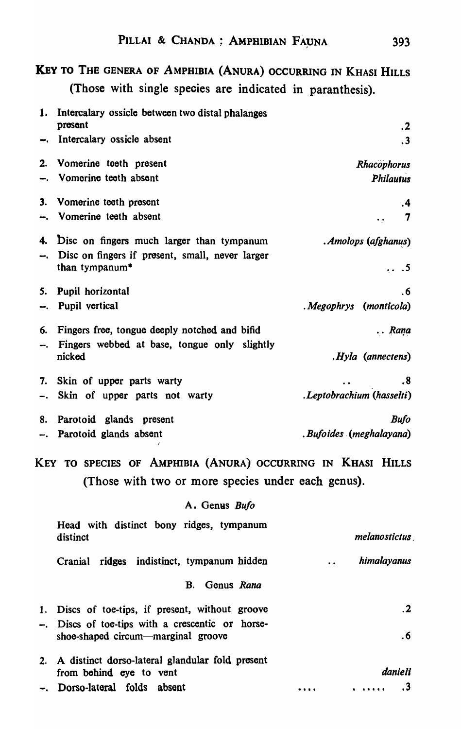# KEy TO THE GENERA OF AMPHIBIA (ANURA) OCCURRING IN KHASI HILLS (Those with single species are indicated in paranthesis).

| 1. | Intercalary ossicle between two distal phalanges                                              |                                                                                                                             |  |  |
|----|-----------------------------------------------------------------------------------------------|-----------------------------------------------------------------------------------------------------------------------------|--|--|
|    | present                                                                                       | .2                                                                                                                          |  |  |
| ⊷. | Intercalary ossicle absent                                                                    | $\cdot$ 3                                                                                                                   |  |  |
| 2. | Vomerine toeth present                                                                        | Rhacophorus                                                                                                                 |  |  |
| ∽. | Vomerine teeth absent                                                                         | Philautus                                                                                                                   |  |  |
| 3. | Vomerine teeth present                                                                        | .4                                                                                                                          |  |  |
| ⊷. | Vomerine teeth absent                                                                         | 7                                                                                                                           |  |  |
| 4. |                                                                                               |                                                                                                                             |  |  |
|    | Disc on fingers much larger than tympanum<br>Disc on fingers if present, small, never larger  | . Amolops (afghanus)                                                                                                        |  |  |
|    | than tympanum*                                                                                | .5                                                                                                                          |  |  |
| 5. | Pupil horizontal                                                                              | . 6                                                                                                                         |  |  |
| –. | Pupil vertical                                                                                | Megophrys (monticola)                                                                                                       |  |  |
|    |                                                                                               |                                                                                                                             |  |  |
| 6. | Fingers free, tongue deeply notched and bifid<br>Fingers webbed at base, tongue only slightly | Rana                                                                                                                        |  |  |
| –. | nicked                                                                                        | Hyla (annectens)                                                                                                            |  |  |
| 7. | Skin of upper parts warty                                                                     | .8                                                                                                                          |  |  |
| Ξ. | Skin of upper parts not warty                                                                 | .Leptobrachium (hasselti)                                                                                                   |  |  |
|    |                                                                                               |                                                                                                                             |  |  |
| 8. | Parotoid glands present                                                                       | Bufo                                                                                                                        |  |  |
|    | -. Parotoid glands absent                                                                     | Bufoides (meghalayana)                                                                                                      |  |  |
|    | Key to species of Amphibia (Anura) occurring in Khasi Hills                                   |                                                                                                                             |  |  |
|    | (Those with two or more species under each genus).                                            |                                                                                                                             |  |  |
|    | A. Genus Bufo                                                                                 |                                                                                                                             |  |  |
|    | Head with distinct bony ridges, tympanum                                                      |                                                                                                                             |  |  |
|    | distinct                                                                                      | melanostictus                                                                                                               |  |  |
|    | Cranial ridges indistinct, tympanum hidden                                                    | himalayanus                                                                                                                 |  |  |
|    |                                                                                               |                                                                                                                             |  |  |
|    | Genus Rana<br>В.                                                                              |                                                                                                                             |  |  |
| 1. | Discs of toe-tips, if present, without groove                                                 | $\mathbf{.2}$                                                                                                               |  |  |
|    | -. Discs of toe-tips with a crescentic or horse-                                              |                                                                                                                             |  |  |
|    | shoe-shaped circum—marginal groove                                                            | . 6                                                                                                                         |  |  |
| 2. | A distinct dorso-lateral glandular fold present                                               |                                                                                                                             |  |  |
|    | from behind eye to vent                                                                       | danieli                                                                                                                     |  |  |
|    | Dorso-lateral folds absent                                                                    | . 3<br>$\begin{array}{cccccccccccccc} \bullet & \bullet & \bullet & \bullet & \bullet & \bullet & \bullet \end{array}$<br>. |  |  |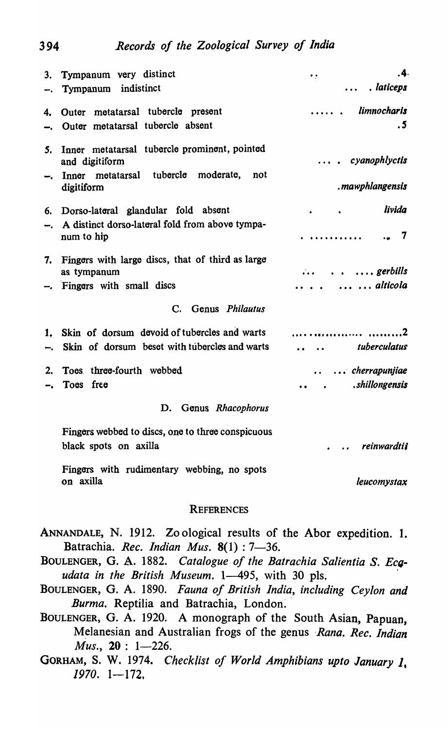| 3.<br>∽.             | Tympanum very distinct<br>Tympanum indistinct                                                                   | .4.<br>$\bullet$ .<br>. laticeps<br>$\ddot{\phantom{a}}$ |  |  |  |  |  |  |  |
|----------------------|-----------------------------------------------------------------------------------------------------------------|----------------------------------------------------------|--|--|--|--|--|--|--|
| 4.                   | Outer metatarsal tubercle present<br>Outer metatarsal tubercle absent                                           | limnocharis<br>.5                                        |  |  |  |  |  |  |  |
| 5.<br>⊷.             | Inner metatarsal tubercle prominent, pointed<br>and digitiform<br>tubercle moderate,<br>Inner metatarsal<br>not | cyanophlyctis                                            |  |  |  |  |  |  |  |
|                      | digitiform                                                                                                      | .mawphlangensis                                          |  |  |  |  |  |  |  |
| 6.                   | Dorso-lateral glandular fold absent<br>A distinct dorso-lateral fold from above tympa-<br>num to hip            | livida<br>7                                              |  |  |  |  |  |  |  |
| 7.                   | Fingers with large discs, that of third as large<br>as tympanum                                                 | $\ldots$ gerbills                                        |  |  |  |  |  |  |  |
|                      | Fingers with small discs                                                                                        | $\cdots$ $\cdots$ alticola                               |  |  |  |  |  |  |  |
|                      | Genus Philautus<br>$\mathbf{C}$ .                                                                               |                                                          |  |  |  |  |  |  |  |
| 1.                   | Skin of dorsum devoid of tubercles and warts<br>Skin of dorsum beset with tubercles and warts                   | tuberculatus                                             |  |  |  |  |  |  |  |
| 2.                   | Toes three-fourth webbed                                                                                        | $\ldots$ cherrapunjiae                                   |  |  |  |  |  |  |  |
|                      | Toes free                                                                                                       | shillongensis.                                           |  |  |  |  |  |  |  |
| D. Genus Rhacophorus |                                                                                                                 |                                                          |  |  |  |  |  |  |  |
|                      | Fingers webbed to discs, one to three conspicuous<br>black spots on axilla                                      | reinwardtii                                              |  |  |  |  |  |  |  |
|                      | Fingers with rudimentary webbing, no spots<br>on axilla                                                         | leucomystax                                              |  |  |  |  |  |  |  |

#### **REFERENCES**

| ANNANDALE, N. 1912. Zo ological results of the Abor expedition. 1. |  |  |  |  |
|--------------------------------------------------------------------|--|--|--|--|
| Batrachia. Rec. Indian Mus. $8(1)$ : 7-36.                         |  |  |  |  |

BOULENGER, G. A. 1882. Catalogue of the Batrachia Salientia S. Ecq*udata in the British Museum.* 1-495, with 30 pls.

- BOULENGER, G. A. 1890. *Fauna of British India, including Ceylon and*  Burma. Reptilia and Batrachia, London.
- BOULENGER, G. A. 1920. A monograph of the South Asian, Papuan, Melanesian and Australian frogs of the genus *Rana. Rec. Indian Mus.*, 20: 1-226.
- GORHAM, S. W. 1974. *Checklist of World Amphibians upto January* I, *1970. 1-172,*